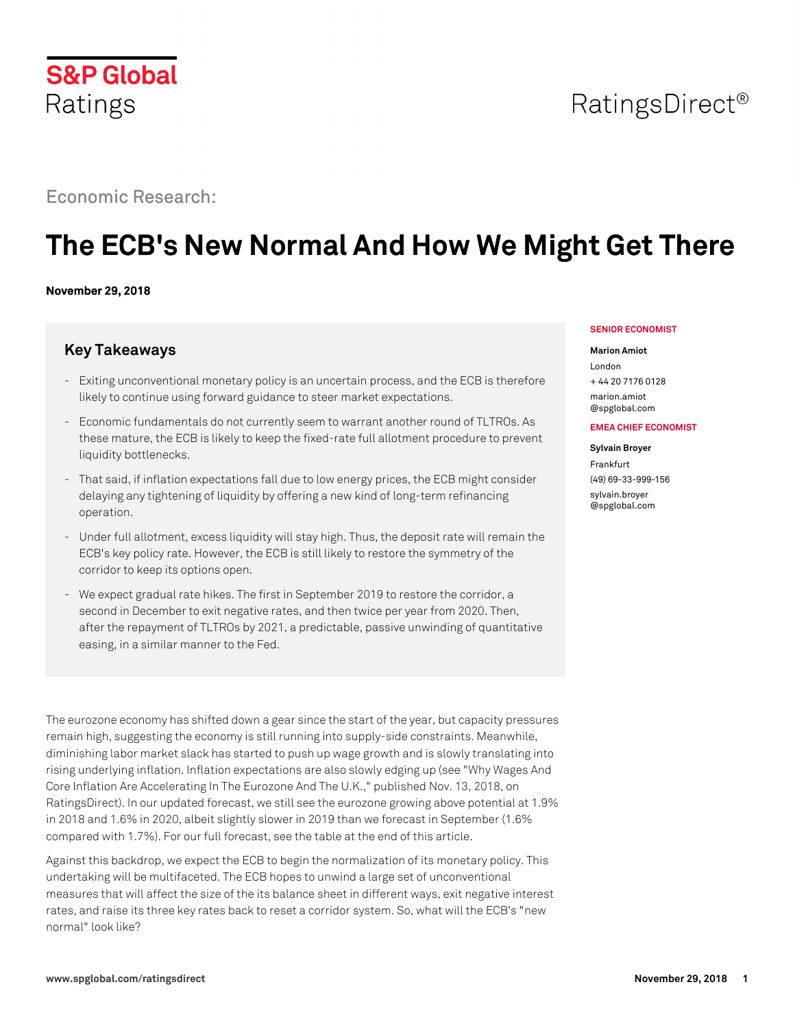

# Economic Research:

# **The ECB's New Normal And How We Might Get There**

### **November 29, 2018**

# **Key Takeaways**

- Exiting unconventional monetary policy is an uncertain process, and the ECB is therefore likely to continue using forward guidance to steer market expectations.
- Economic fundamentals do not currently seem to warrant another round of TLTROs. As these mature, the ECB is likely to keep the fixed-rate full allotment procedure to prevent liquidity bottlenecks.
- That said, if inflation expectations fall due to low energy prices, the ECB might consider delaying any tightening of liquidity by offering a new kind of long-term refinancing operation.
- Under full allotment, excess liquidity will stay high. Thus, the deposit rate will remain the ECB's key policy rate. However, the ECB is still likely to restore the symmetry of the corridor to keep its options open.
- We expect gradual rate hikes. The first in September 2019 to restore the corridor, a second in December to exit negative rates, and then twice per year from 2020. Then, after the repayment of TLTROs by 2021, a predictable, passive unwinding of quantitative easing, in a similar manner to the Fed.

The eurozone economy has shifted down a gear since the start of the year, but capacity pressures remain high, suggesting the economy is still running into supply-side constraints. Meanwhile, diminishing labor market slack has started to push up wage growth and is slowly translating into rising underlying inflation. Inflation expectations are also slowly edging up (see "Why Wages And Core Inflation Are Accelerating In The Eurozone And The U.K.," published Nov. 13, 2018, on RatingsDirect). In our updated forecast, we still see the eurozone growing above potential at 1.9% in 2018 and 1.6% in 2020, albeit slightly slower in 2019 than we forecast in September (1.6% compared with 1.7%). For our full forecast, see the table at the end of this article.

Against this backdrop, we expect the ECB to begin the normalization of its monetary policy. This undertaking will be multifaceted. The ECB hopes to unwind a large set of unconventional measures that will affect the size of the its balance sheet in different ways, exit negative interest rates, and raise its three key rates back to reset a corridor system. So, what will the ECB's "new normal" look like?

#### **SENIOR ECONOMIST**

#### **Marion Amiot**

London + 44 20 7176 0128 [marion.amiot](mailto: marion.amiot@spglobal.com) [@spglobal.com](mailto: marion.amiot@spglobal.com)

#### **EMEA CHIEF ECONOMIST**

**Sylvain Broyer** Frankfurt (49) 69-33-999-156 [sylvain.broyer](mailto: sylvain.broyer@spglobal.com) [@spglobal.com](mailto: sylvain.broyer@spglobal.com)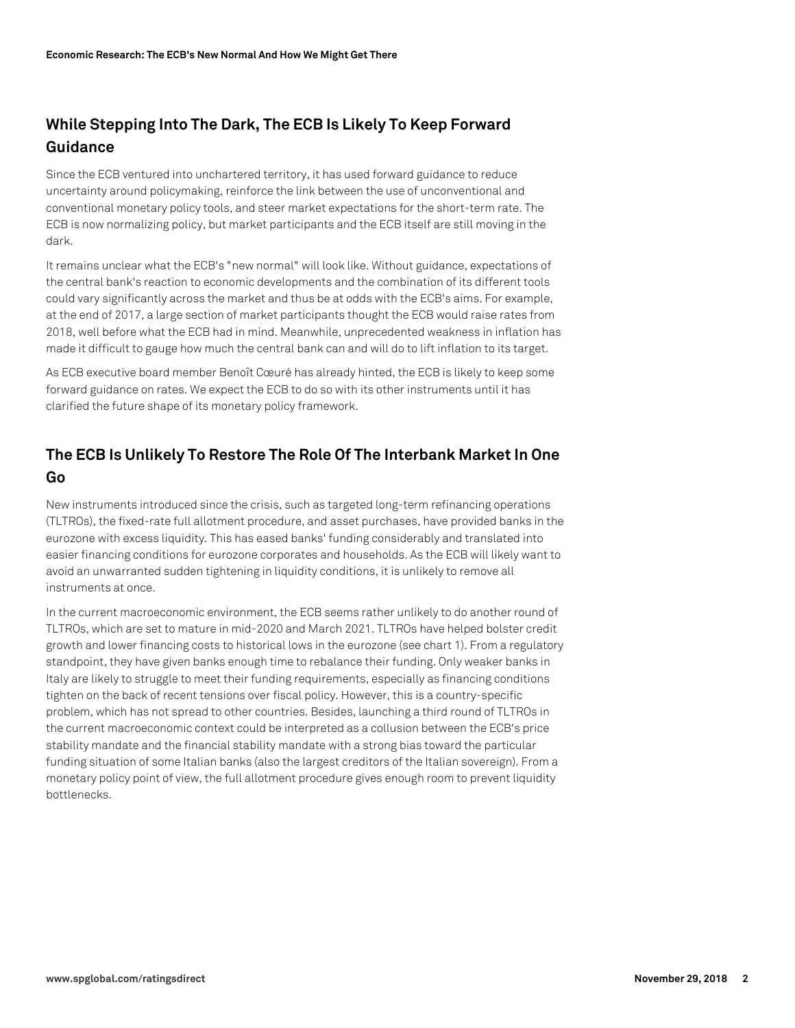# **While Stepping Into The Dark, The ECB Is Likely To Keep Forward Guidance**

Since the ECB ventured into unchartered territory, it has used forward guidance to reduce uncertainty around policymaking, reinforce the link between the use of unconventional and conventional monetary policy tools, and steer market expectations for the short-term rate. The ECB is now normalizing policy, but market participants and the ECB itself are still moving in the dark.

It remains unclear what the ECB's "new normal" will look like. Without guidance, expectations of the central bank's reaction to economic developments and the combination of its different tools could vary significantly across the market and thus be at odds with the ECB's aims. For example, at the end of 2017, a large section of market participants thought the ECB would raise rates from 2018, well before what the ECB had in mind. Meanwhile, unprecedented weakness in inflation has made it difficult to gauge how much the central bank can and will do to lift inflation to its target.

As ECB executive board member Benoît Cœuré has already hinted, the ECB is likely to keep some forward guidance on rates. We expect the ECB to do so with its other instruments until it has clarified the future shape of its monetary policy framework.

# **The ECB Is Unlikely To Restore The Role Of The Interbank Market In One Go**

New instruments introduced since the crisis, such as targeted long-term refinancing operations (TLTROs), the fixed-rate full allotment procedure, and asset purchases, have provided banks in the eurozone with excess liquidity. This has eased banks' funding considerably and translated into easier financing conditions for eurozone corporates and households. As the ECB will likely want to avoid an unwarranted sudden tightening in liquidity conditions, it is unlikely to remove all instruments at once.

In the current macroeconomic environment, the ECB seems rather unlikely to do another round of TLTROs, which are set to mature in mid-2020 and March 2021. TLTROs have helped bolster credit growth and lower financing costs to historical lows in the eurozone (see chart 1). From a regulatory standpoint, they have given banks enough time to rebalance their funding. Only weaker banks in Italy are likely to struggle to meet their funding requirements, especially as financing conditions tighten on the back of recent tensions over fiscal policy. However, this is a country-specific problem, which has not spread to other countries. Besides, launching a third round of TLTROs in the current macroeconomic context could be interpreted as a collusion between the ECB's price stability mandate and the financial stability mandate with a strong bias toward the particular funding situation of some Italian banks (also the largest creditors of the Italian sovereign). From a monetary policy point of view, the full allotment procedure gives enough room to prevent liquidity bottlenecks.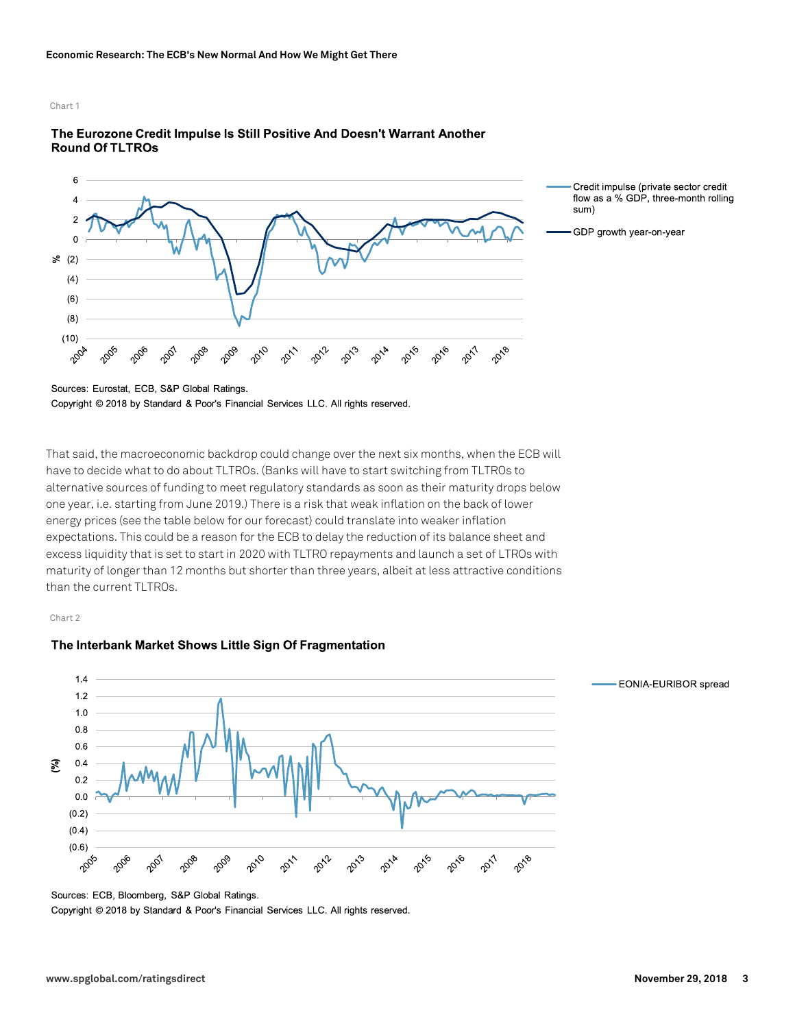

### The Eurozone Credit Impulse Is Still Positive And Doesn't Warrant Another **Round Of TLTROs**

Sources: Eurostat, ECB, S&P Global Ratings. Copyright © 2018 by Standard & Poor's Financial Services LLC. All rights reserved.

That said, the macroeconomic backdrop could change over the next six months, when the ECB will have to decide what to do about TLTROs. (Banks will have to start switching from TLTROs to alternative sources of funding to meet regulatory standards as soon as their maturity drops below one year, i.e. starting from June 2019.) There is a risk that weak inflation on the back of lower energy prices (see the table below for our forecast) could translate into weaker inflation expectations. This could be a reason for the ECB to delay the reduction of its balance sheet and excess liquidity that is set to start in 2020 with TLTRO repayments and launch a set of LTROs with maturity of longer than 12 months but shorter than three years, albeit at less attractive conditions than the current TLTROs.

Chart 2





flow as a % GDP, three-month rolling

- EONIA-EURIBOR spread

Sources: ECB, Bloomberg, S&P Global Ratings.

Copyright © 2018 by Standard & Poor's Financial Services LLC. All rights reserved.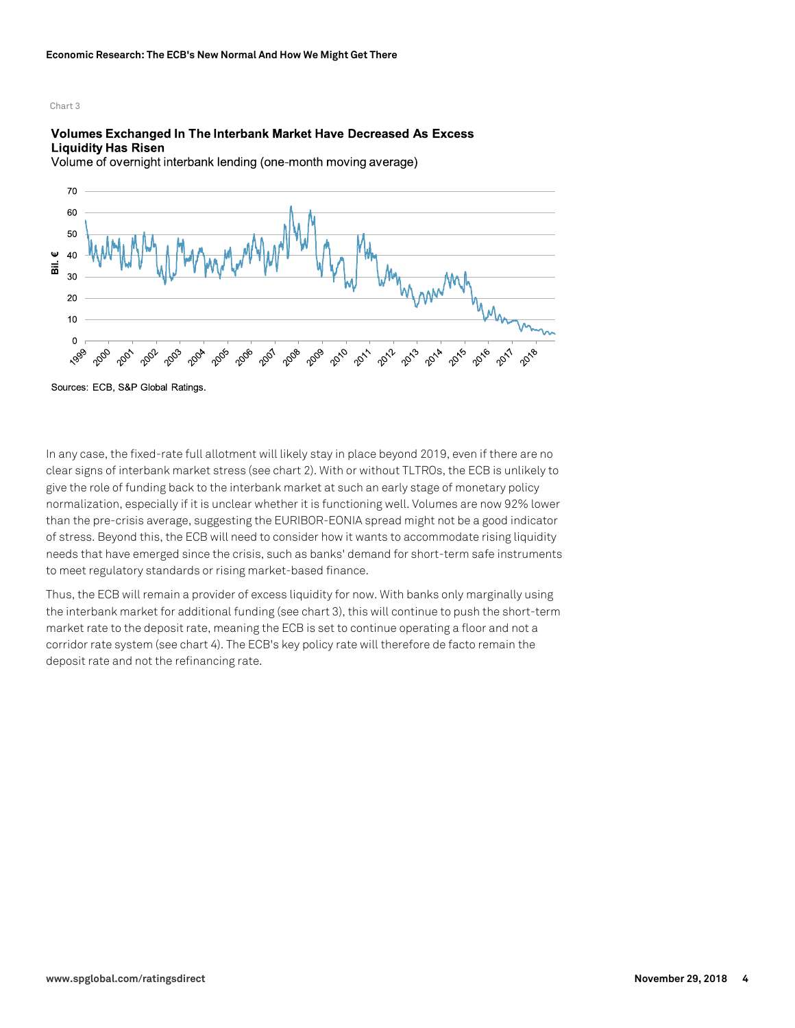#### Volumes Exchanged In The Interbank Market Have Decreased As Excess **Liquidity Has Risen**

Volume of overnight interbank lending (one-month moving average)



Sources: ECB, S&P Global Ratings

In any case, the fixed-rate full allotment will likely stay in place beyond 2019, even if there are no clear signs of interbank market stress (see chart 2). With or without TLTROs, the ECB is unlikely to give the role of funding back to the interbank market at such an early stage of monetary policy normalization, especially if it is unclear whether it is functioning well. Volumes are now 92% lower than the pre-crisis average, suggesting the EURIBOR-EONIA spread might not be a good indicator of stress. Beyond this, the ECB will need to consider how it wants to accommodate rising liquidity needs that have emerged since the crisis, such as banks' demand for short-term safe instruments to meet regulatory standards or rising market-based finance.

Thus, the ECB will remain a provider of excess liquidity for now. With banks only marginally using the interbank market for additional funding (see chart 3), this will continue to push the short-term market rate to the deposit rate, meaning the ECB is set to continue operating a floor and not a corridor rate system (see chart 4). The ECB's key policy rate will therefore de facto remain the deposit rate and not the refinancing rate.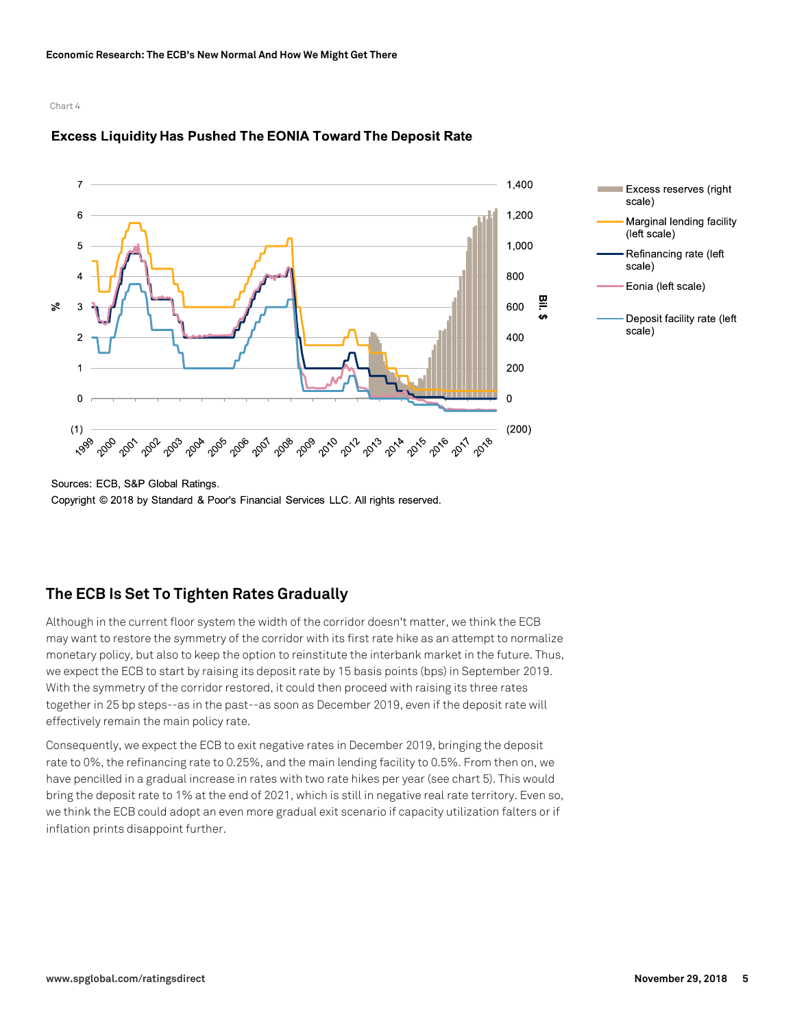





Sources: ECB, S&P Global Ratings.

Copyright © 2018 by Standard & Poor's Financial Services LLC. All rights reserved.

## **The ECB Is Set To Tighten Rates Gradually**

Although in the current floor system the width of the corridor doesn't matter, we think the ECB may want to restore the symmetry of the corridor with its first rate hike as an attempt to normalize monetary policy, but also to keep the option to reinstitute the interbank market in the future. Thus, we expect the ECB to start by raising its deposit rate by 15 basis points (bps) in September 2019. With the symmetry of the corridor restored, it could then proceed with raising its three rates together in 25 bp steps--as in the past--as soon as December 2019, even if the deposit rate will effectively remain the main policy rate.

Consequently, we expect the ECB to exit negative rates in December 2019, bringing the deposit rate to 0%, the refinancing rate to 0.25%, and the main lending facility to 0.5%. From then on, we have pencilled in a gradual increase in rates with two rate hikes per year (see chart 5). This would bring the deposit rate to 1% at the end of 2021, which is still in negative real rate territory. Even so, we think the ECB could adopt an even more gradual exit scenario if capacity utilization falters or if inflation prints disappoint further.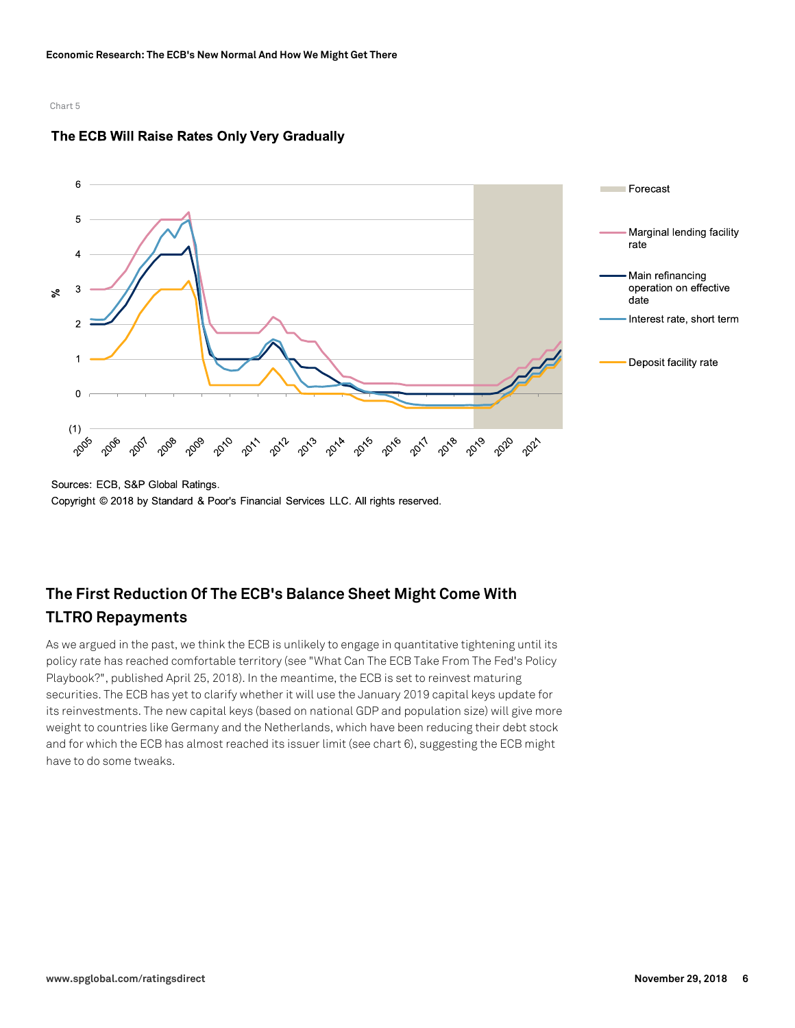

### The ECB Will Raise Rates Only Very Gradually

Copyright © 2018 by Standard & Poor's Financial Services LLC. All rights reserved.

# **The First Reduction Of The ECB's Balance Sheet Might Come With TLTRO Repayments**

As we argued in the past, we think the ECB is unlikely to engage in quantitative tightening until its policy rate has reached comfortable territory (see "What Can The ECB Take From The Fed's Policy Playbook?", published April 25, 2018). In the meantime, the ECB is set to reinvest maturing securities. The ECB has yet to clarify whether it will use the January 2019 capital keys update for its reinvestments. The new capital keys (based on national GDP and population size) will give more weight to countries like Germany and the Netherlands, which have been reducing their debt stock and for which the ECB has almost reached its issuer limit (see chart 6), suggesting the ECB might have to do some tweaks.

Sources: ECB, S&P Global Ratings.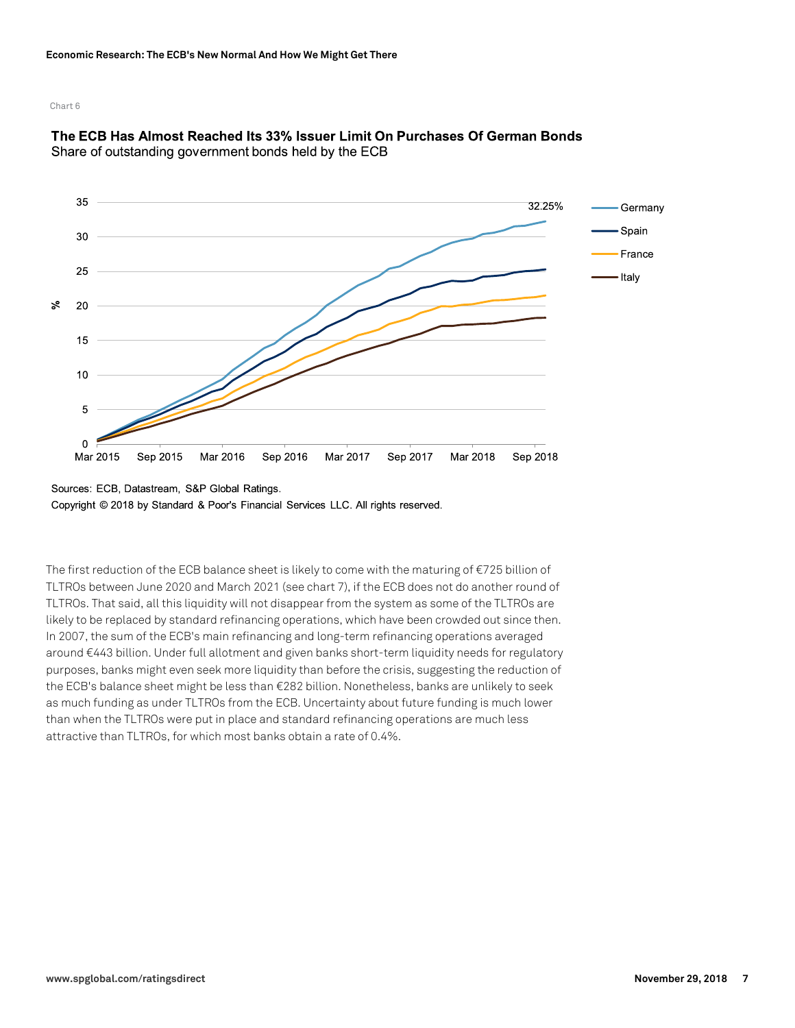

### The ECB Has Almost Reached Its 33% Issuer Limit On Purchases Of German Bonds Share of outstanding government bonds held by the ECB

Copyright © 2018 by Standard & Poor's Financial Services LLC. All rights reserved.

The first reduction of the ECB balance sheet is likely to come with the maturing of €725 billion of TLTROs between June 2020 and March 2021 (see chart 7), if the ECB does not do another round of TLTROs. That said, all this liquidity will not disappear from the system as some of the TLTROs are likely to be replaced by standard refinancing operations, which have been crowded out since then. In 2007, the sum of the ECB's main refinancing and long-term refinancing operations averaged around €443 billion. Under full allotment and given banks short-term liquidity needs for regulatory purposes, banks might even seek more liquidity than before the crisis, suggesting the reduction of the ECB's balance sheet might be less than €282 billion. Nonetheless, banks are unlikely to seek as much funding as under TLTROs from the ECB. Uncertainty about future funding is much lower than when the TLTROs were put in place and standard refinancing operations are much less attractive than TLTROs, for which most banks obtain a rate of 0.4%.

Sources: ECB, Datastream, S&P Global Ratings.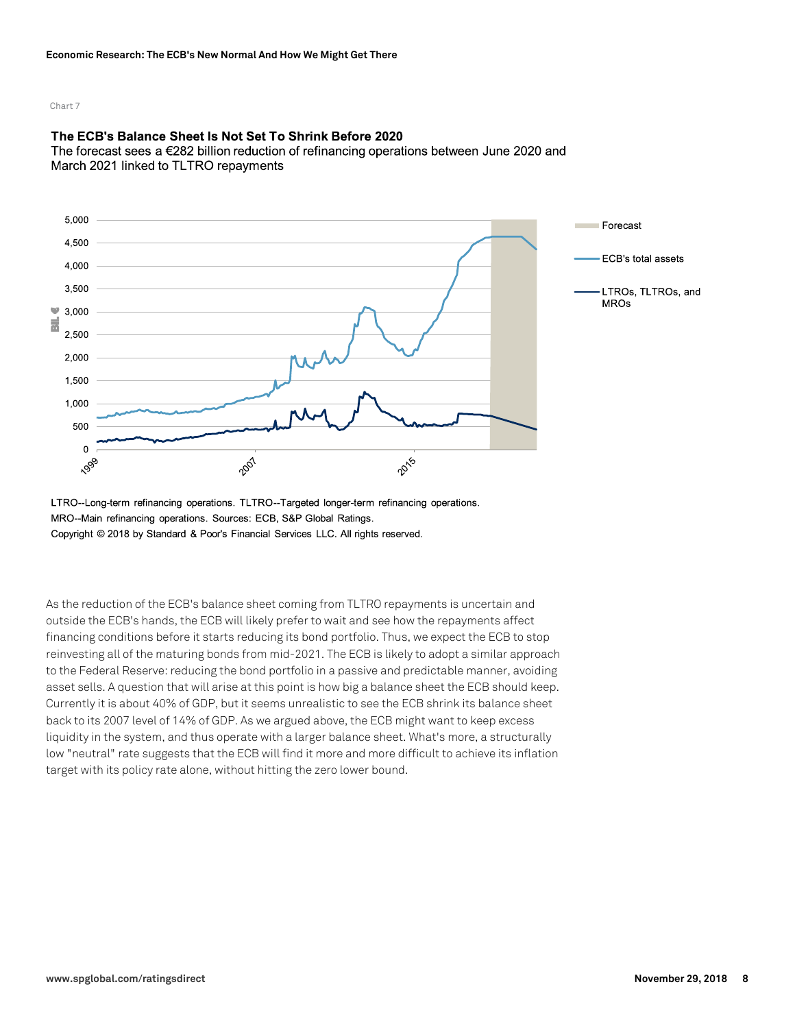### The ECB's Balance Sheet Is Not Set To Shrink Before 2020

The forecast sees a  $\epsilon$ 282 billion reduction of refinancing operations between June 2020 and March 2021 linked to TLTRO repayments



LTRO--Long-term refinancing operations. TLTRO--Targeted longer-term refinancing operations. MRO--Main refinancing operations. Sources: ECB, S&P Global Ratings. Copyright © 2018 by Standard & Poor's Financial Services LLC. All rights reserved.

As the reduction of the ECB's balance sheet coming from TLTRO repayments is uncertain and outside the ECB's hands, the ECB will likely prefer to wait and see how the repayments affect financing conditions before it starts reducing its bond portfolio. Thus, we expect the ECB to stop reinvesting all of the maturing bonds from mid-2021. The ECB is likely to adopt a similar approach to the Federal Reserve: reducing the bond portfolio in a passive and predictable manner, avoiding asset sells. A question that will arise at this point is how big a balance sheet the ECB should keep. Currently it is about 40% of GDP, but it seems unrealistic to see the ECB shrink its balance sheet back to its 2007 level of 14% of GDP. As we argued above, the ECB might want to keep excess liquidity in the system, and thus operate with a larger balance sheet. What's more, a structurally low "neutral" rate suggests that the ECB will find it more and more difficult to achieve its inflation target with its policy rate alone, without hitting the zero lower bound.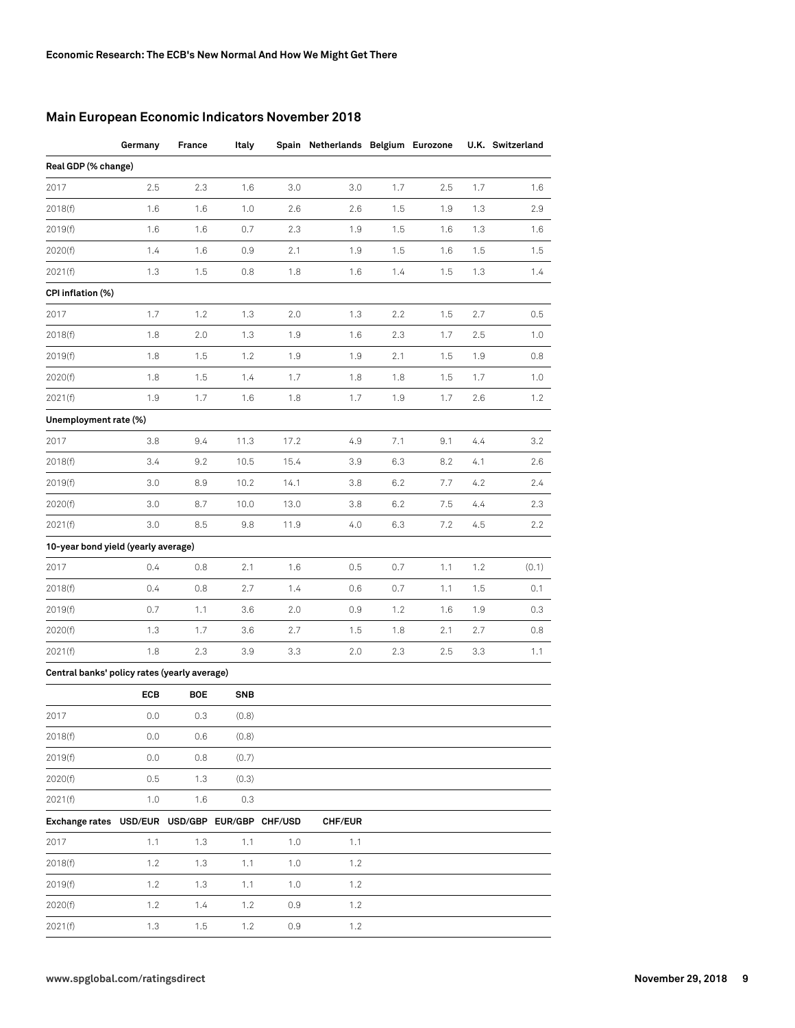### **Main European Economic Indicators November 2018**

|                                                | Germany | France | Italy      |      | Spain Netherlands Belgium Eurozone |     |     |     | U.K. Switzerland |
|------------------------------------------------|---------|--------|------------|------|------------------------------------|-----|-----|-----|------------------|
| Real GDP (% change)                            |         |        |            |      |                                    |     |     |     |                  |
| 2017                                           | 2.5     | 2.3    | 1.6        | 3.0  | 3.0                                | 1.7 | 2.5 | 1.7 | 1.6              |
| 2018(f)                                        | 1.6     | 1.6    | 1.0        | 2.6  | 2.6                                | 1.5 | 1.9 | 1.3 | 2.9              |
| 2019(f)                                        | 1.6     | 1.6    | 0.7        | 2.3  | 1.9                                | 1.5 | 1.6 | 1.3 | 1.6              |
| 2020(f)                                        | 1.4     | 1.6    | 0.9        | 2.1  | 1.9                                | 1.5 | 1.6 | 1.5 | 1.5              |
| 2021(f)                                        | 1.3     | 1.5    | 0.8        | 1.8  | 1.6                                | 1.4 | 1.5 | 1.3 | 1.4              |
| CPI inflation (%)                              |         |        |            |      |                                    |     |     |     |                  |
| 2017                                           | 1.7     | 1.2    | 1.3        | 2.0  | 1.3                                | 2.2 | 1.5 | 2.7 | 0.5              |
| 2018(f)                                        | 1.8     | 2.0    | 1.3        | 1.9  | 1.6                                | 2.3 | 1.7 | 2.5 | 1.0              |
| 2019(f)                                        | 1.8     | 1.5    | 1.2        | 1.9  | 1.9                                | 2.1 | 1.5 | 1.9 | 0.8              |
| 2020(f)                                        | 1.8     | 1.5    | 1.4        | 1.7  | 1.8                                | 1.8 | 1.5 | 1.7 | 1.0              |
| 2021(f)                                        | 1.9     | 1.7    | 1.6        | 1.8  | 1.7                                | 1.9 | 1.7 | 2.6 | 1.2              |
| Unemployment rate (%)                          |         |        |            |      |                                    |     |     |     |                  |
| 2017                                           | 3.8     | 9.4    | 11.3       | 17.2 | 4.9                                | 7.1 | 9.1 | 4.4 | 3.2              |
| 2018(f)                                        | 3.4     | 9.2    | 10.5       | 15.4 | 3.9                                | 6.3 | 8.2 | 4.1 | 2.6              |
| 2019(f)                                        | 3.0     | 8.9    | 10.2       | 14.1 | 3.8                                | 6.2 | 7.7 | 4.2 | 2.4              |
| 2020(f)                                        | 3.0     | 8.7    | 10.0       | 13.0 | 3.8                                | 6.2 | 7.5 | 4.4 | 2.3              |
| 2021(f)                                        | 3.0     | 8.5    | 9.8        | 11.9 | 4.0                                | 6.3 | 7.2 | 4.5 | 2.2              |
| 10-year bond yield (yearly average)            |         |        |            |      |                                    |     |     |     |                  |
| 2017                                           | 0.4     | 0.8    | 2.1        | 1.6  | 0.5                                | 0.7 | 1.1 | 1.2 | (0.1)            |
| 2018(f)                                        | 0.4     | 0.8    | 2.7        | 1.4  | 0.6                                | 0.7 | 1.1 | 1.5 | 0.1              |
| 2019(f)                                        | 0.7     | 1.1    | 3.6        | 2.0  | 0.9                                | 1.2 | 1.6 | 1.9 | 0.3              |
| 2020(f)                                        | 1.3     | 1.7    | 3.6        | 2.7  | 1.5                                | 1.8 | 2.1 | 2.7 | 0.8              |
| 2021(f)                                        | 1.8     | 2.3    | 3.9        | 3.3  | 2.0                                | 2.3 | 2.5 | 3.3 | 1.1              |
| Central banks' policy rates (yearly average)   |         |        |            |      |                                    |     |     |     |                  |
|                                                | ECB     | BOE    | <b>SNB</b> |      |                                    |     |     |     |                  |
| 2017                                           | 0.0     | 0.3    | (0.8)      |      |                                    |     |     |     |                  |
| 2018(f)                                        | 0.0     | 0.6    | (0.8)      |      |                                    |     |     |     |                  |
| 2019(f)                                        | 0.0     | 0.8    | (0.7)      |      |                                    |     |     |     |                  |
| 2020(f)                                        | 0.5     | 1.3    | (0.3)      |      |                                    |     |     |     |                  |
| 2021(f)                                        | 1.0     | 1.6    | 0.3        |      |                                    |     |     |     |                  |
| Exchange rates USD/EUR USD/GBP EUR/GBP CHF/USD |         |        |            |      | CHF/EUR                            |     |     |     |                  |
| 2017                                           | 1.1     | 1.3    | 1.1        | 1.0  | 1.1                                |     |     |     |                  |
| 2018(f)                                        | 1.2     | 1.3    | 1.1        | 1.0  | 1.2                                |     |     |     |                  |
| 2019(f)                                        | 1.2     | 1.3    | 1.1        | 1.0  | 1.2                                |     |     |     |                  |
| 2020(f)                                        | 1.2     | 1.4    | 1.2        | 0.9  | 1.2                                |     |     |     |                  |
| 2021(f)                                        | 1.3     | 1.5    | 1.2        | 0.9  | 1.2                                |     |     |     |                  |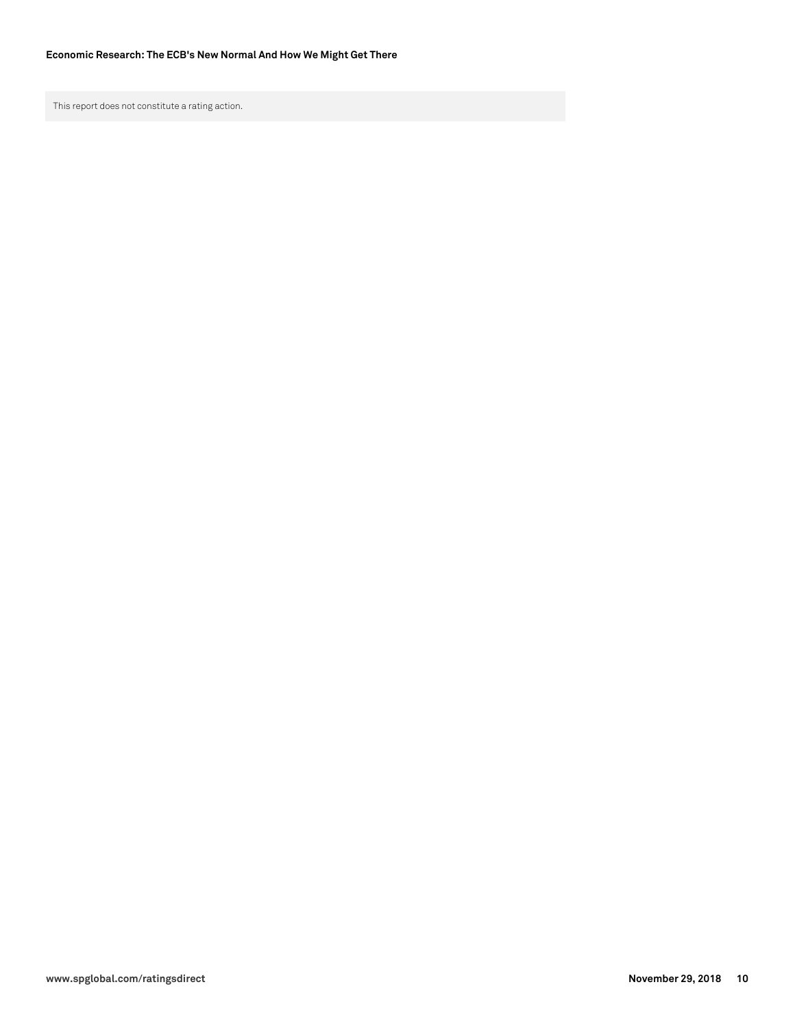This report does not constitute a rating action.